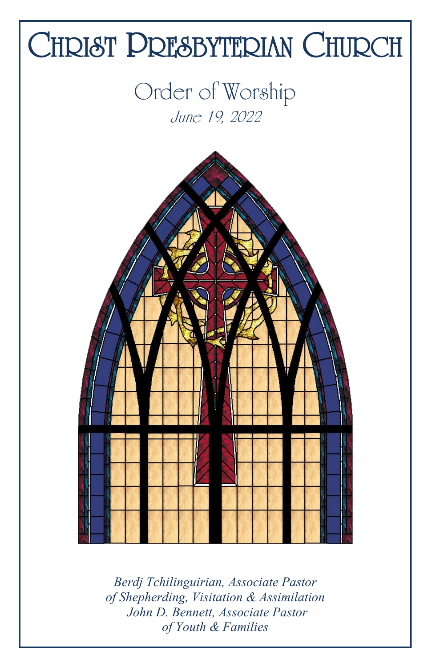

*Berdj Tchilinguirian, Associate Pastor of Shepherding, Visitation & Assimilation John D. Bennett, Associate Pastor of Youth & Families*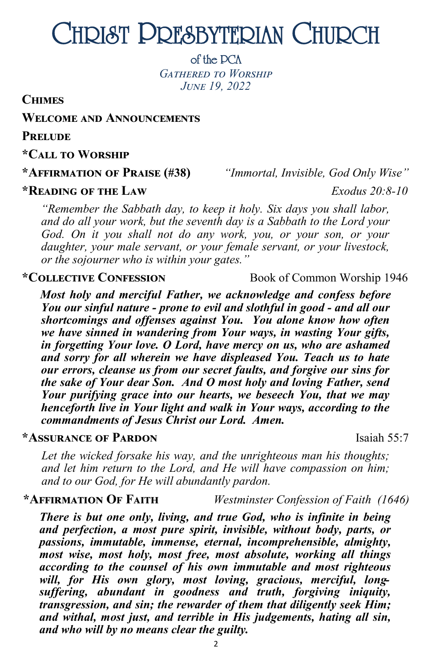# CHRIST PRESBYTERIAN CHURCH

of the PCA

*Gathered to Worship June 19, 2022*

**Chimes**

**Welcome and Announcements**

**Prelude** 

**\*Call to Worship**

**\*Affirmation of Praise (#38)** *"Immortal, Invisible, God Only Wise"*

#### **\*Reading of the Law** *Exodus 20:8-10*

*"Remember the Sabbath day, to keep it holy. Six days you shall labor, and do all your work, but the seventh day is a Sabbath to the Lord your God. On it you shall not do any work, you, or your son, or your daughter, your male servant, or your female servant, or your livestock, or the sojourner who is within your gates."*

#### **\*Collective Confession** Book of Common Worship 1946

*Most holy and merciful Father, we acknowledge and confess before You our sinful nature - prone to evil and slothful in good - and all our shortcomings and offenses against You. You alone know how often we have sinned in wandering from Your ways, in wasting Your gifts, in forgetting Your love. O Lord, have mercy on us, who are ashamed and sorry for all wherein we have displeased You. Teach us to hate our errors, cleanse us from our secret faults, and forgive our sins for the sake of Your dear Son. And O most holy and loving Father, send Your purifying grace into our hearts, we beseech You, that we may henceforth live in Your light and walk in Your ways, according to the commandments of Jesus Christ our Lord. Amen.*

#### **\*Assurance of Pardon** Isaiah 55:7

Let the wicked forsake his way, and the unrighteous man his thoughts; *and let him return to the Lord, and He will have compassion on him; and to our God, for He will abundantly pardon.* 

#### **\*Affirmation Of Faith** *Westminster Confession of Faith (1646)*

*There is but one only, living, and true God, who is infinite in being and perfection, a most pure spirit, invisible, without body, parts, or passions, immutable, immense, eternal, incomprehensible, almighty, most wise, most holy, most free, most absolute, working all things according to the counsel of his own immutable and most righteous will, for His own glory, most loving, gracious, merciful, longsuffering, abundant in goodness and truth, forgiving iniquity, transgression, and sin; the rewarder of them that diligently seek Him; and withal, most just, and terrible in His judgements, hating all sin, and who will by no means clear the guilty.*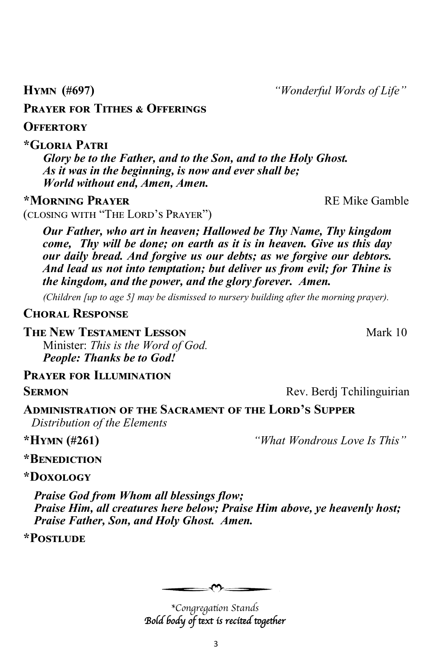3

**Prayer for Tithes & Offerings** 

**Offertory**

**\*Gloria Patri**

*Glory be to the Father, and to the Son, and to the Holy Ghost. As it was in the beginning, is now and ever shall be; World without end, Amen, Amen.*

#### **\*MORNING PRAYER THE REMIC OF STATE REMIC GAMBLE**

(closing with "The Lord's Prayer")

*Our Father, who art in heaven; Hallowed be Thy Name, Thy kingdom come, Thy will be done; on earth as it is in heaven. Give us this day our daily bread. And forgive us our debts; as we forgive our debtors. And lead us not into temptation; but deliver us from evil; for Thine is the kingdom, and the power, and the glory forever. Amen.*

*(Children [up to age 5] may be dismissed to nursery building after the morning prayer).*

#### **Choral Response**

**The New Testament Lesson** Mark 10

Minister: *This is the Word of God. People: Thanks be to God!* 

#### **Prayer for Illumination**

**SERMON Rev.** Berdj Tchilinguirian

#### **Administration of the Sacrament of the Lord's Supper**  *Distribution of the Elements*

**\*Hymn (#261)** *"What Wondrous Love Is This"*

#### **\*Benediction**

#### **\*Doxology**

*Praise God from Whom all blessings flow; Praise Him, all creatures here below; Praise Him above, ye heavenly host; Praise Father, Son, and Holy Ghost. Amen.*

**\*Postlude**

*\*Congregation Stands Bold body of text is recited together* 

and the control of the control of

**Hymn (#697)** *"Wonderful Words of Life"*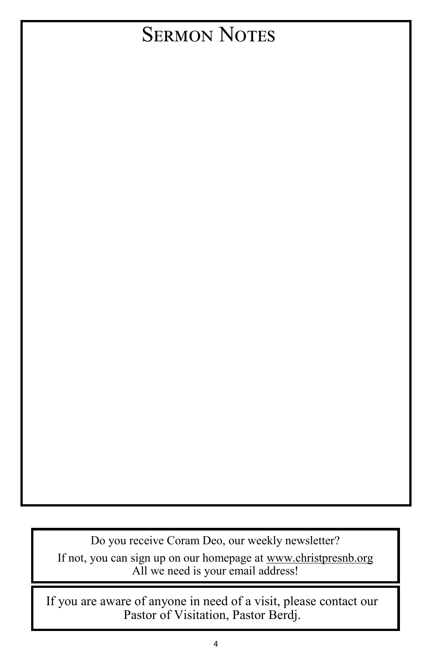## **SERMON NOTES**

Do you receive Coram Deo, our weekly newsletter? If not, you can sign up on our homepage at [www.christpresnb.org](http://www.christpresnb.org/) All we need is your email address!

If you are aware of anyone in need of a visit, please contact our Pastor of Visitation, Pastor Berdj.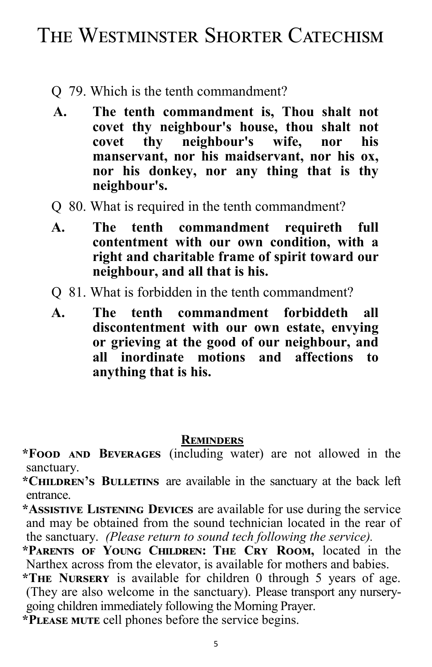### The Westminster Shorter Catechism

- Q 79. Which is the tenth commandment?
- **A. The tenth commandment is, Thou shalt not covet thy neighbour's house, thou shalt not covet thy neighbour's wife, nor his manservant, nor his maidservant, nor his ox, nor his donkey, nor any thing that is thy neighbour's.**
- Q 80. What is required in the tenth commandment?
- **A. The tenth commandment requireth full contentment with our own condition, with a right and charitable frame of spirit toward our neighbour, and all that is his.**
- Q 81. What is forbidden in the tenth commandment?
- **A. The tenth commandment forbiddeth all discontentment with our own estate, envying or grieving at the good of our neighbour, and all inordinate motions and affections to anything that is his.**

#### **Reminders**

**\*Food and Beverages** (including water) are not allowed in the sanctuary.

**\*Children's Bulletins** are available in the sanctuary at the back left entrance.

**\*Assistive Listening Devices** are available for use during the service and may be obtained from the sound technician located in the rear of the sanctuary. *(Please return to sound tech following the service).*

**\*Parents of Young Children: The Cry Room,** located in the Narthex across from the elevator, is available for mothers and babies.

**\*The Nursery** is available for children 0 through 5 years of age. (They are also welcome in the sanctuary). Please transport any nurserygoing children immediately following the Morning Prayer.

**\*Please mute** cell phones before the service begins.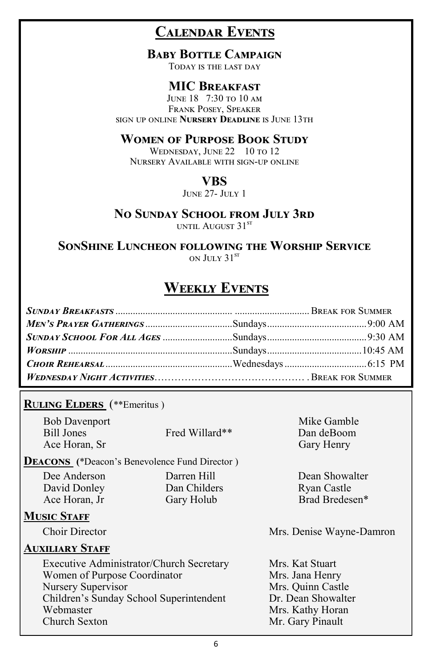### **Calendar Events**

#### **Baby Bottle Campaign**

Today is the last day

#### **MIC Breakfast**

June 18 7:30 to 10 am Frank Posey, Speaker sign up online **Nursery Deadline** is June 13th

#### **Women of Purpose Book Study**

WEDNESDAY, JUNE 22 10 TO 12 Nursery Available with sign-up online

#### **VBS**

June 27- July 1

#### **No Sunday School from July 3rd**

until August 31<sup>st</sup>

**SonShine Luncheon following the Worship Service** ON  $\text{I}$ III y 31<sup>st</sup>

#### **Weekly Events**

#### **R**u**ling Elders** (\*\*Emeritus )

Bob Davenport Mike Gamble Bill Jones Fred Willard\*\* Dan deBoom Ace Horan, Sr Gary Henry

**Deacons (**\*Deacon's Benevolence Fund Director )

David Donley Dan Childers Ryan Castle

#### **MUSIC STAFF**

#### **Auxiliary Staff**

Executive Administrator/Church Secretary Mrs. Kat Stuart Women of Purpose Coordinator Mrs. Jana Henry<br>
Nursery Supervisor Mrs. Quinn Castle Nursery Supervisor Children's Sunday School Superintendent Dr. Dean Showalter Webmaster Mrs. Kathy Horan Church Sexton Mr. Gary Pinault

Dee Anderson Darren Hill Dean Showalter Ace Horan, Jr Gary Holub Brad Bredesen\*

Choir Director Mrs. Denise Wayne-Damron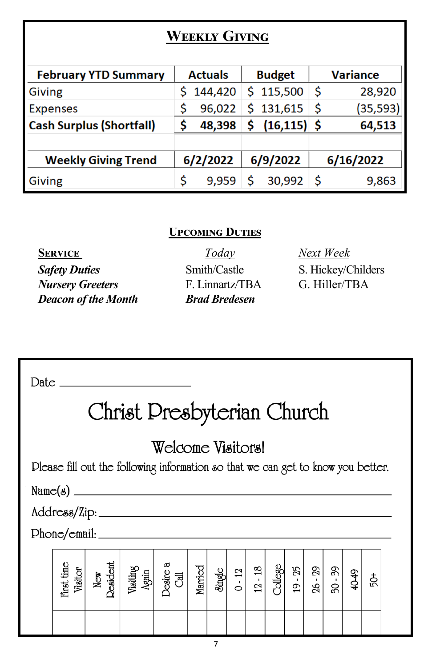### **Weekly Giving**

| <b>February YTD Summary</b>     | <b>Actuals</b> |          |          | <b>Budget</b>  | <b>Variance</b> |           |  |
|---------------------------------|----------------|----------|----------|----------------|-----------------|-----------|--|
| <b>Giving</b>                   |                | 144,420  |          | \$115,500      | \$              | 28,920    |  |
| <b>Expenses</b>                 |                | 96,022   |          | 131,615        | \$              | (35, 593) |  |
| <b>Cash Surplus (Shortfall)</b> |                | 48,398   |          | $(16, 115)$ \$ |                 | 64,513    |  |
|                                 |                |          |          |                |                 |           |  |
| <b>Weekly Giving Trend</b>      |                | 6/2/2022 | 6/9/2022 |                | 6/16/2022       |           |  |
| <b>Giving</b>                   |                | 9,959    | Ś        | 30,992         | Ś               | 9,863     |  |

#### **Upcoming Duties**

**Safety Duties** Smith/Castle S. Hickey/Childers *Nursery Greeters* F. Linnartz/TBA G. Hiller/TBA *Deacon of the Month Brad Bredesen*

**Service** *Today Next Week*

 $Date$ 

# Christ Presbyterian Church

### Welcome Visitors!

Please fill out the following information so that we can get to know you better.

 $Phone/cmail:$ 

| First time<br>Visitor | Jesident<br>New | Visiting<br>Again | œ<br>Desire<br>司 | Married | Single | 12<br>٠<br>⊂ | $\frac{8}{2}$<br>٠<br>12 | bilege | 55<br>$\mathbf{L}$<br>$\overline{5}$ | 29<br>$\blacksquare$<br>26 | 89<br>$\blacksquare$<br>SG | Q<br>₽ | ₿ |  |
|-----------------------|-----------------|-------------------|------------------|---------|--------|--------------|--------------------------|--------|--------------------------------------|----------------------------|----------------------------|--------|---|--|
|                       |                 |                   |                  |         |        |              |                          |        |                                      |                            |                            |        |   |  |